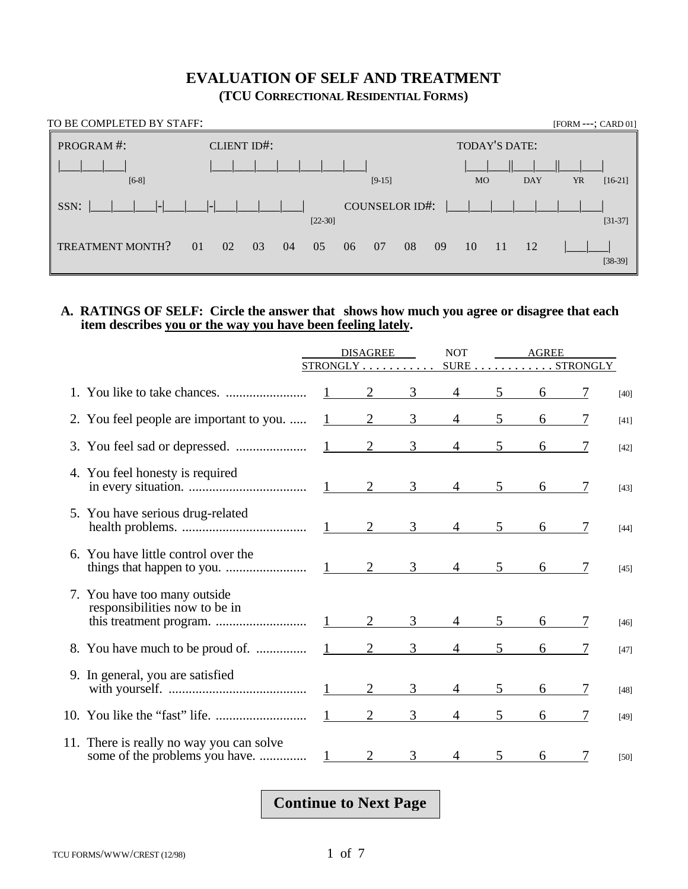### **EVALUATION OF SELF AND TREATMENT (TCU CORRECTIONAL RESIDENTIAL FORMS)**

| TO BE COMPLETED BY STAFF: |                      |                              | [FORM ---; CARD 01]                               |
|---------------------------|----------------------|------------------------------|---------------------------------------------------|
| PROGRAM#:                 | <b>CLIENT ID#:</b>   |                              | TODAY'S DATE:                                     |
| $[6-8]$                   |                      | $[9-15]$                     | <b>DAY</b><br><b>YR</b><br>$[16-21]$<br><b>MO</b> |
| <br>SSN:                  | $  \_$               | COUNSELOR ID#:<br>$[22-30]$  | $[31-37]$                                         |
| TREATMENT MONTH?          | 01<br>03<br>02<br>04 | -08<br>05<br>06<br>07<br>-09 | 12<br>10<br>-11<br>$[38-39]$                      |

#### **A. RATINGS OF SELF: Circle the answer that shows how much you agree or disagree that each item describes you or the way you have been feeling lately.**

|                                                               | <b>DISAGREE</b>        |               | <b>NOT</b>     |                                               | AGREE          |            |   |        |
|---------------------------------------------------------------|------------------------|---------------|----------------|-----------------------------------------------|----------------|------------|---|--------|
|                                                               |                        |               |                |                                               |                |            |   |        |
|                                                               |                        |               |                | $2 \underline{3} \underline{4} \underline{5}$ |                | 6          |   | $[40]$ |
| 2. You feel people are important to you.                      |                        | $1 \t 2 \t 3$ |                | $4\overline{ }$                               | 5              | $6\degree$ |   | $[41]$ |
|                                                               |                        |               |                | $1 \t2 \t3 \t4 \t5$                           |                | 6          |   | $[42]$ |
| 4. You feel honesty is required                               |                        |               |                |                                               |                | $6\degree$ |   | $[43]$ |
| 5. You have serious drug-related                              |                        |               |                |                                               | 5 <sup>5</sup> | 6          | 7 | $[44]$ |
| 6. You have little control over the                           |                        |               |                |                                               |                | 6          | 7 | $[45]$ |
| 7. You have too many outside<br>responsibilities now to be in |                        |               |                | $\overline{4}$                                | 5 <sup>5</sup> | 6          |   | $[46]$ |
| 8. You have much to be proud of.                              |                        |               |                | $1 \qquad 2 \qquad 3 \qquad 4 \qquad 5$       |                | 6          | 7 | $[47]$ |
| 9. In general, you are satisfied                              |                        |               | 3 <sup>7</sup> | $4\overline{ }$                               | 5 <sup>5</sup> | 6          |   | $[48]$ |
|                                                               |                        |               |                | $2 \qquad 3 \qquad 4 \qquad 5$                |                | 6          | 7 | $[49]$ |
| 11. There is really no way you can solve                      | $1 \quad \blacksquare$ | 2             | 3              | $\overline{4}$                                | 5 <sup>5</sup> | 6          |   | $[50]$ |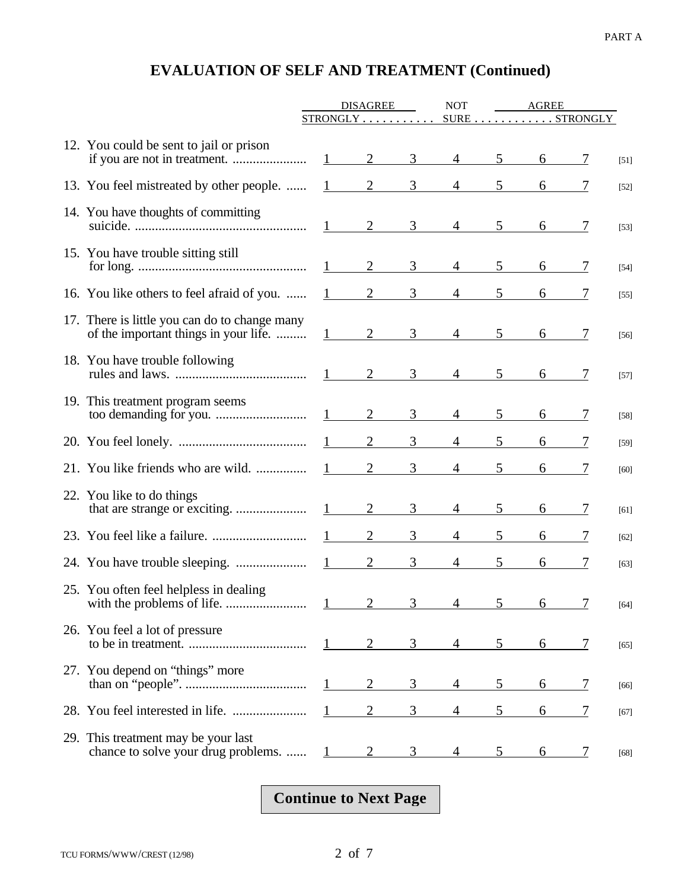|                                                                                        | <b>DISAGREE</b>   |                                 |   | <b>NOT</b>     | <b>AGREE</b> |                                                     |   |        |
|----------------------------------------------------------------------------------------|-------------------|---------------------------------|---|----------------|--------------|-----------------------------------------------------|---|--------|
|                                                                                        |                   | $STRONGLY \ldots \ldots \ldots$ |   |                |              | $\texttt{SURE} \dots \dots \dots \texttt{STRONGLY}$ |   |        |
| 12. You could be sent to jail or prison                                                |                   | 2                               | 3 | $\overline{4}$ | 5            |                                                     |   | $[51]$ |
| 13. You feel mistreated by other people.                                               |                   | $\overline{2}$                  | 3 |                | 5            |                                                     |   | $[52]$ |
| 14. You have thoughts of committing                                                    |                   | $1 \qquad \qquad 2$             | 3 |                | 5            |                                                     |   | $[53]$ |
| 15. You have trouble sitting still                                                     | $1 \qquad \qquad$ | 2                               | 3 | $\overline{4}$ | 5            | 6                                                   |   | $[54]$ |
| 16. You like others to feel afraid of you.                                             | 1                 | 2                               | 3 |                | 5            |                                                     |   | $[55]$ |
| 17. There is little you can do to change many<br>of the important things in your life. | $1 \qquad \qquad$ | 2                               | 3 |                | 5            |                                                     |   | $[56]$ |
| 18. You have trouble following                                                         |                   | $1 \qquad 2$                    | 3 | $\overline{4}$ | 5            |                                                     |   | $[57]$ |
| 19. This treatment program seems                                                       | $1 \qquad \qquad$ | $\overline{2}$                  | 3 | $\overline{4}$ | 5            | 6                                                   |   | $[58]$ |
|                                                                                        |                   | 2                               | 3 |                |              |                                                     |   | $[59]$ |
| 21. You like friends who are wild.                                                     |                   |                                 | 3 |                |              |                                                     |   | $[60]$ |
| 22. You like to do things                                                              |                   | $\overline{2}$                  | 3 | $\overline{4}$ | 5            |                                                     |   | [61]   |
|                                                                                        |                   | $\overline{2}$                  | 3 |                |              |                                                     |   | $[62]$ |
|                                                                                        | $\mathbf{1}$      | $\overline{2}$                  | 3 |                | 5            |                                                     |   | [63]   |
| 25. You often feel helpless in dealing                                                 |                   | $\sim$ $\sim$                   |   | $3 \t 4 \t 5$  |              | $6\overline{6}$                                     |   | $[64]$ |
| 26. You feel a lot of pressure                                                         |                   |                                 | 3 | 4              | 5            | 6                                                   | 7 | $[65]$ |
| 27. You depend on "things" more                                                        |                   | 2                               | 3 |                | 5            | 6                                                   | 7 | $[66]$ |
|                                                                                        |                   | $\overline{2}$                  | 3 | 4              | 5            | 6                                                   | 7 | $[67]$ |
| 29. This treatment may be your last<br>chance to solve your drug problems.             |                   |                                 | 3 |                |              | 6                                                   | 7 | $[68]$ |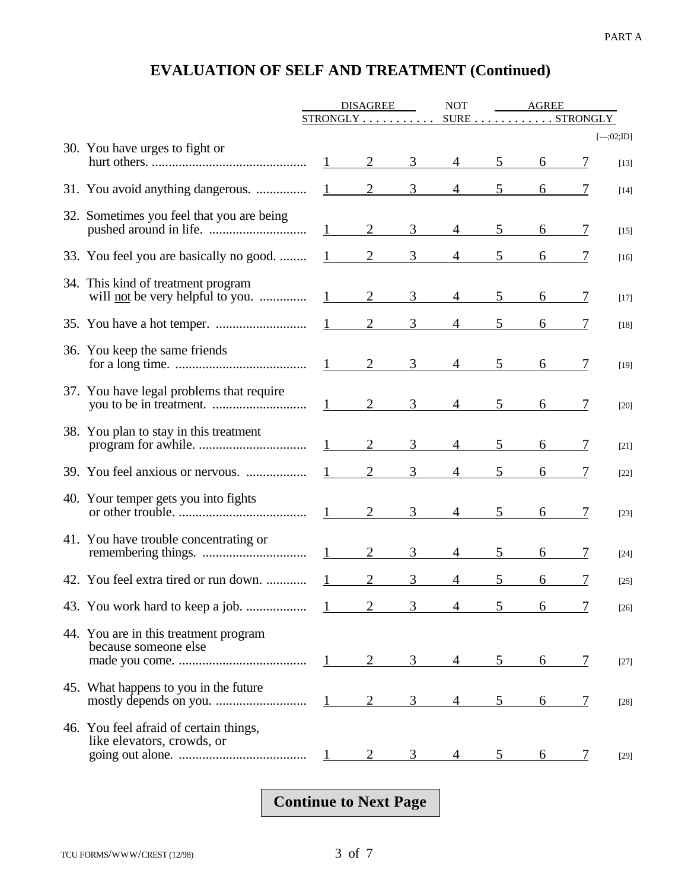|                                                                               | <b>DISAGREE</b>   |                                 | <b>NOT</b>     | AGREE                          |                |               |   |                         |
|-------------------------------------------------------------------------------|-------------------|---------------------------------|----------------|--------------------------------|----------------|---------------|---|-------------------------|
|                                                                               |                   | $STRONGLY \ldots \ldots \ldots$ |                |                                |                | SURE STRONGLY |   |                         |
| 30. You have urges to fight or                                                | $1 \qquad \qquad$ | $\overline{2}$                  | 3 <sup>7</sup> | $\overline{4}$                 | 5 <sup>5</sup> | 6             |   | $[--.;02;ID]$<br>$[13]$ |
| 31. You avoid anything dangerous.                                             |                   |                                 |                | $1 \quad 2 \quad 3 \quad 4$    | 5 <sup>5</sup> | 6             |   | $[14]$                  |
| 32. Sometimes you feel that you are being                                     |                   | $1 \qquad 2$                    | 3 <sup>7</sup> | $\overline{4}$                 | 5 <sup>5</sup> | $6\degree$    |   | $[15]$                  |
| 33. You feel you are basically no good.                                       | $1 \qquad \qquad$ | $\overline{2}$                  | $3^{\circ}$    | $4 \quad$                      | 5 <sup>5</sup> | 6             |   | [16]                    |
| 34. This kind of treatment program<br>will <u>not</u> be very helpful to you. |                   | $1 \qquad 2 \qquad 3$           |                | $4\overline{ }$                | 5 <sup>5</sup> | 6             |   | $[17]$                  |
|                                                                               |                   | $1 \qquad 2 \qquad 3$           |                | $\frac{4}{\sqrt{2}}$           | 5 <sup>5</sup> | 6             |   | $[18]$                  |
| 36. You keep the same friends                                                 |                   |                                 |                | $1 \qquad 2 \qquad 3 \qquad 4$ | 5 <sup>5</sup> | 6             |   | $[19]$                  |
| 37. You have legal problems that require                                      |                   | $1 \qquad 2 \qquad 3$           |                | $4\overline{ }$                | 5 <sup>5</sup> | 6             | 7 | $[20]$                  |
| 38. You plan to stay in this treatment                                        |                   | $\overline{2}$                  | $3^{\circ}$    | $\overline{4}$                 | 5 <sup>5</sup> | 6             | 7 | $[21]$                  |
| 39. You feel anxious or nervous.                                              |                   | $\overline{2}$                  | 3 <sup>7</sup> | $\overline{4}$                 | 5 <sup>5</sup> | 6             |   | $[22]$                  |
| 40. Your temper gets you into fights                                          |                   | $1 \qquad 2 \qquad 3$           |                | $\overline{4}$                 | 5 <sup>5</sup> | 6             | 7 | $[23]$                  |
| 41. You have trouble concentrating or                                         | $1 \qquad \qquad$ | $\overline{2}$                  | 3 <sup>1</sup> | $\overline{4}$                 | 5 <sup>5</sup> | 6             | 7 | $[24]$                  |
| 42. You feel extra tired or run down.                                         |                   | $\overline{2}$                  | 3              | 4                              | 5              | 6             |   | $[25]$                  |
| 43. You work hard to keep a job.                                              |                   |                                 |                |                                |                | 6             |   | $[26]$                  |
| 44. You are in this treatment program<br>because someone else                 |                   |                                 |                |                                | 5.             | 6             |   | [27]                    |
| 45. What happens to you in the future                                         |                   |                                 |                |                                |                | 6             |   | [28]                    |
| 46. You feel afraid of certain things,<br>like elevators, crowds, or          |                   |                                 |                |                                |                | 6             |   | $[29]$                  |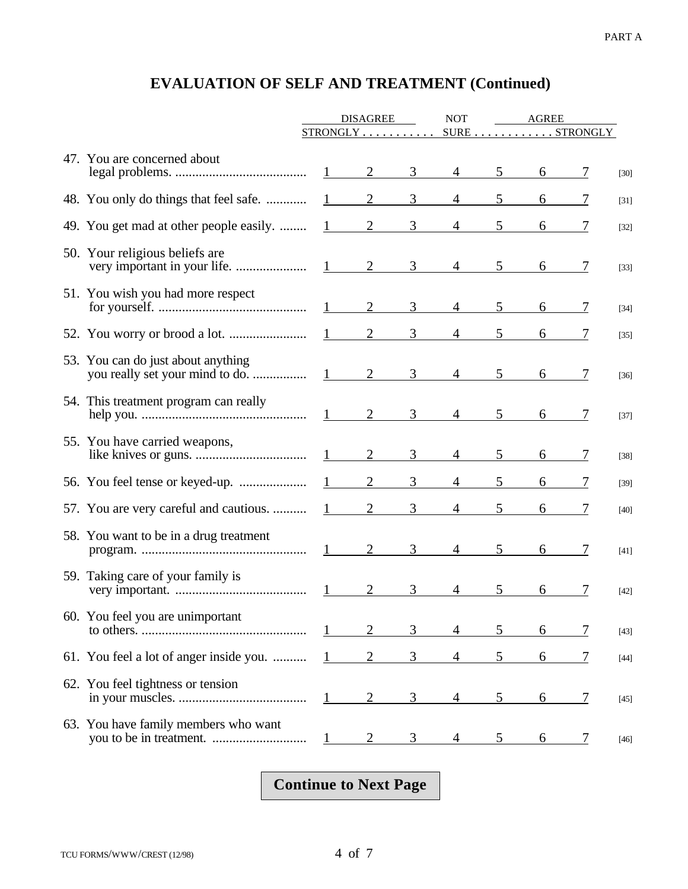|                                         | <b>DISAGREE</b>        |                 | <b>NOT</b>     | AGREE          |                 |               |                |        |
|-----------------------------------------|------------------------|-----------------|----------------|----------------|-----------------|---------------|----------------|--------|
|                                         |                        | $STRONGLY$      |                |                |                 | SURE STRONGLY |                |        |
| 47. You are concerned about             |                        | $1 \qquad 2$    | 3              |                | $4\quad 5$      |               |                | $[30]$ |
| 48. You only do things that feel safe.  | $1 \quad \blacksquare$ | 2               | 3              | $\overline{4}$ | 5 <sup>5</sup>  |               |                | $[31]$ |
| 49. You get mad at other people easily. | $1 \quad \blacksquare$ | 2               | 3              | 4              |                 |               |                | $[32]$ |
| 50. Your religious beliefs are          |                        |                 |                | $\overline{4}$ | 5 <sup>5</sup>  |               |                | $[33]$ |
| 51. You wish you had more respect       |                        | $1 \qquad 2$    | $\mathfrak{Z}$ | $\overline{4}$ | $5\overline{)}$ | 6             |                | $[34]$ |
|                                         |                        | $\frac{1}{2}$ 2 | 3              | $\overline{4}$ | 5               |               |                | $[35]$ |
| 53. You can do just about anything      |                        |                 |                | $\overline{4}$ | 5 <sup>5</sup>  |               |                | $[36]$ |
| 54. This treatment program can really   |                        |                 |                | $\overline{4}$ | 5 <sup>5</sup>  | 6             |                | $[37]$ |
| 55. You have carried weapons,           | $1 \quad \blacksquare$ | $\overline{2}$  | 3              | $\overline{4}$ | 5               | 6             |                | $[38]$ |
|                                         |                        | $\overline{2}$  | 3              | $\overline{4}$ |                 |               |                | $[39]$ |
| 57. You are very careful and cautious.  | 1                      | $\overline{2}$  | 3              | 4              |                 |               |                | $[40]$ |
| 58. You want to be in a drug treatment  |                        |                 | 3 <sup>7</sup> | $4\phantom{0}$ | 5 <sup>5</sup>  |               | $\overline{1}$ | $[41]$ |
| 59. Taking care of your family is       | $1 \qquad \qquad$      | 2               | 3              | $\overline{4}$ | 5               | 6             | 7              | $[42]$ |
| 60. You feel you are unimportant        | $1 -$                  | 2               | 3              |                | 5               | 6             | 7              | $[43]$ |
| 61. You feel a lot of anger inside you. | 1                      | $\overline{2}$  | 3              | 4              | 5               | 6             | $\overline{1}$ | $[44]$ |
| 62. You feel tightness or tension       | $1 \quad \blacksquare$ | 2               | 3              | 4              | 5               | 6             | <u>7</u>       | [45]   |
| 63. You have family members who want    | $\perp$                |                 |                |                |                 | 6             |                | [46]   |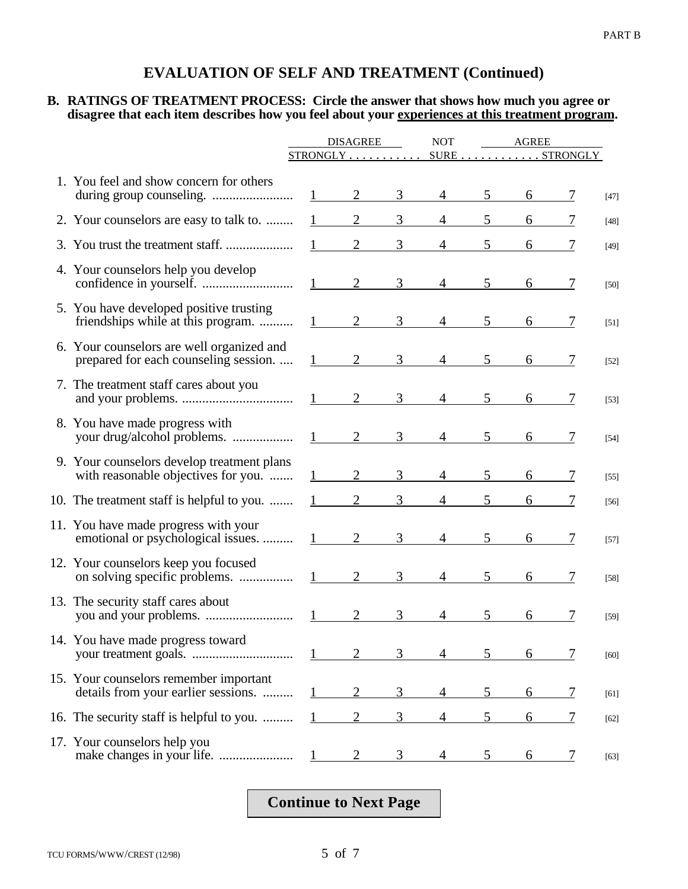#### **B. RATINGS OF TREATMENT PROCESS: Circle the answer that shows how much you agree or disagree that each item describes how you feel about your experiences at this treatment program.**

|                                                                                    | <b>DISAGREE</b>        |                             | <b>NOT</b>     | AGREE          |                |                                                     |               |        |
|------------------------------------------------------------------------------------|------------------------|-----------------------------|----------------|----------------|----------------|-----------------------------------------------------|---------------|--------|
|                                                                                    |                        | $STRONGLY$                  |                |                |                | $\texttt{SURE} \dots \dots \dots \texttt{STRONGLY}$ |               |        |
| 1. You feel and show concern for others                                            |                        | 2                           | 3              |                | 5              | 6                                                   |               | $[47]$ |
| 2. Your counselors are easy to talk to.                                            |                        | $\overline{2}$              | 3              | 4              |                | 6                                                   |               | $[48]$ |
|                                                                                    |                        | $\overline{2}$              | 3              |                | 5              | 6                                                   |               | $[49]$ |
| 4. Your counselors help you develop                                                | $1 \quad \blacksquare$ | $\overline{2}$              | $\overline{3}$ | $\overline{4}$ | 5              | 6                                                   | 7             | $[50]$ |
| 5. You have developed positive trusting<br>friendships while at this program.      |                        | $\overline{2}$              | 3              | $\overline{4}$ | 5              | 6                                                   |               | $[51]$ |
| 6. Your counselors are well organized and<br>prepared for each counseling session. |                        | $\overline{2}$              | 3 <sup>7</sup> | $\overline{4}$ | 5              | 6                                                   |               | $[52]$ |
| 7. The treatment staff cares about you                                             | $1 \qquad \qquad$      | $\overline{2}$              | 3 <sup>7</sup> | 4              | 5 <sup>5</sup> | 6                                                   |               | $[53]$ |
| 8. You have made progress with                                                     |                        | 2                           | 3              | $\overline{4}$ | $5^{\circ}$    | 6                                                   |               | $[54]$ |
| 9. Your counselors develop treatment plans<br>with reasonable objectives for you.  |                        | $\overline{2}$              | 3              | 4              | 5              | 6                                                   |               | $[55]$ |
| 10. The treatment staff is helpful to you.                                         |                        | $\overline{2}$              | 3 <sup>1</sup> | 4              | 5              | 6                                                   |               | [56]   |
| 11. You have made progress with your<br>emotional or psychological issues.         | 1                      | $\overline{2}$              | 3              | $\overline{4}$ | 5              | 6                                                   | 7             | $[57]$ |
| 12. Your counselors keep you focused<br>on solving specific problems.              | $1 \qquad \qquad$      | $\overline{2}$              | $\mathfrak{Z}$ | $\overline{4}$ | 5              | 6                                                   | 7             | $[58]$ |
| 13. The security staff cares about                                                 |                        | $\mathcal{D}_{\mathcal{L}}$ | $\mathfrak{Z}$ | $\overline{4}$ | 5              | 6                                                   |               | $[59]$ |
| 14. You have made progress toward                                                  |                        |                             | 3              |                | 5.             | 6                                                   | 7             | $[60]$ |
| 15. Your counselors remember important<br>details from your earlier sessions.      |                        | 2                           | 3              | 4              | 5              | 6                                                   | <u>7</u>      | [61]   |
| 16. The security staff is helpful to you.                                          |                        | 2                           | 3              | 4              | 5              | 6                                                   | 7             | $[62]$ |
| 17. Your counselors help you                                                       |                        | 2                           | 3              |                |                | 6                                                   | $\mathcal{L}$ | $[63]$ |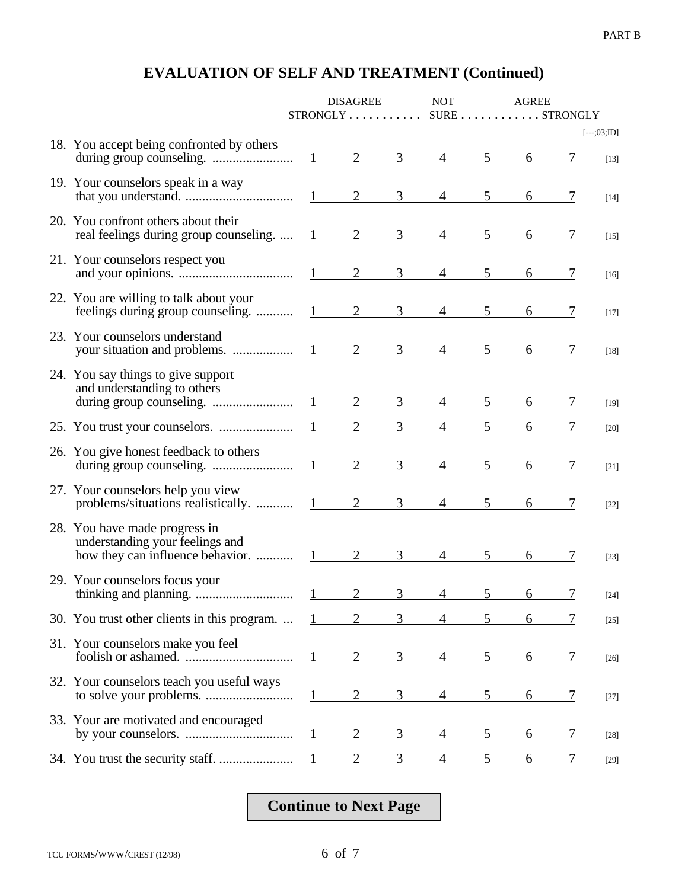|                                                                                             | <b>DISAGREE</b>   |                             |                | <b>NOT</b>            |                 | AGREE |          |                         |  |
|---------------------------------------------------------------------------------------------|-------------------|-----------------------------|----------------|-----------------------|-----------------|-------|----------|-------------------------|--|
|                                                                                             |                   |                             |                | STRONGLY SURESTRONGLY |                 |       |          |                         |  |
| 18. You accept being confronted by others                                                   |                   | $\frac{1}{2}$ $\frac{2}{2}$ | 3 <sup>7</sup> | $\overline{4}$        | 5 <sup>5</sup>  | 6     |          | $[--.;03;ID]$<br>$[13]$ |  |
| 19. Your counselors speak in a way                                                          |                   |                             | 3              | $\overline{4}$        | $5\overline{)}$ | 6     |          | $[14]$                  |  |
| 20. You confront others about their<br>real feelings during group counseling.  1 2          |                   |                             | $\mathfrak{Z}$ | $\overline{4}$        | 5 <sup>5</sup>  | 6     |          | $[15]$                  |  |
| 21. Your counselors respect you                                                             |                   |                             | $\mathfrak{Z}$ | $\overline{4}$        | 5               | 6     |          | $[16]$                  |  |
| 22. You are willing to talk about your                                                      |                   | $\overline{2}$              | 3              | $\overline{4}$        | 5               | 6     | 7        | $[17]$                  |  |
| 23. Your counselors understand                                                              |                   |                             |                | $\overline{4}$        | 5 <sup>5</sup>  | 6     |          | $[18]$                  |  |
| 24. You say things to give support<br>and understanding to others                           |                   | $1 \qquad 2$                | 3 <sup>7</sup> | $4 \quad$             | 5 <sup>5</sup>  |       |          | $[19]$                  |  |
|                                                                                             | $1 \qquad \qquad$ | 2                           | 3              |                       | 5 <sup>1</sup>  |       |          | $[20]$                  |  |
| 26. You give honest feedback to others                                                      | 1                 | $\overline{2}$              | $\overline{3}$ | 4                     | 5               | 6     |          | $[21]$                  |  |
| 27. Your counselors help you view<br>problems/situations realistically. $1 \qquad 2 \qquad$ |                   |                             | 3 <sup>1</sup> | $\overline{4}$        | 5 <sup>5</sup>  | 6     |          | $[22]$                  |  |
| 28. You have made progress in<br>understanding your feelings and                            |                   | $\overline{2}$              | $\overline{3}$ | $\overline{4}$        | 5               | 6     | 7        | $[23]$                  |  |
| 29. Your counselors focus your                                                              |                   | 2                           | 3              | $\overline{4}$        | 5               | 6     | 7        | $[24]$                  |  |
| 30. You trust other clients in this program.                                                |                   |                             | 3              |                       | 5.              | 6     |          | $[25]$                  |  |
| 31. Your counselors make you feel                                                           |                   | 2                           | 3              |                       | 5               | 6     | 7        | $[26]$                  |  |
| 32. Your counselors teach you useful ways                                                   |                   | $\overline{2}$              | 3              | 4                     | 5               | 6     | <u>7</u> | $[27]$                  |  |
| 33. Your are motivated and encouraged                                                       |                   | $\overline{2}$              | 3              | 4                     | 5               | 6     | <u>7</u> | $[28]$                  |  |
|                                                                                             |                   |                             | 3              |                       |                 |       |          | $[29]$                  |  |